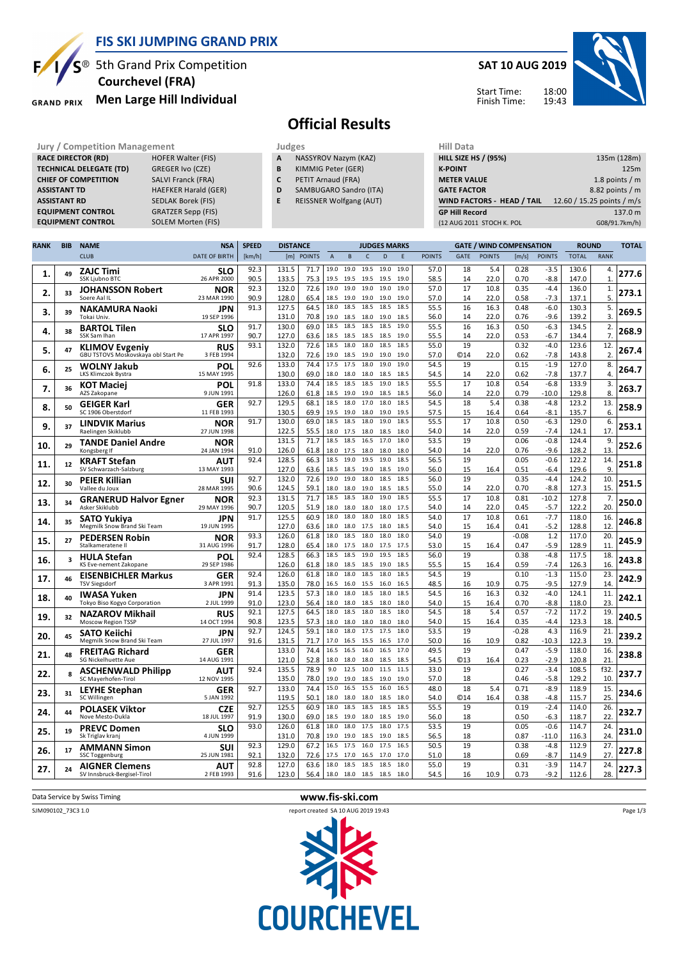

**EQUIPMENT CONTROL** 

#### **FIS SKI JUMPING GRAND PRIX**

<sup>®</sup> 5th Grand Prix Competition  **Courchevel (FRA)**

**Men Large Hill Individual GRAND PRIX** 

**RACE DIRECTOR (RD)** HOFER Walter (FIS) **TECHNICAL DELEGATE (TD)** GREGER Ivo (CZE) **CHIEF OF COMPETITION** SALVI Franck (FRA) **ASSISTANT TD** HAEFKER Harald (GER) **ASSISTANT RD** SEDLAK Borek (FIS)<br>**EQUIPMENT CONTROL** GRATZER Sepp (FIS) **EQUIPMENT CONTROL GRATZER Sepp (FIS)**<br>**EQUIPMENT CONTROL** SOLEM Morten (FIS)

#### **SAT 10 AUG 2019**

Start Time: Finish Time:



## **Official Results**

**Jury / Competition Management department on the Judges of American Hill Data** 

- **A** NASSYROV Nazym (KAZ)
- **B** KIMMIG Peter (GER)
- **C** PETIT Arnaud (FRA)
- **D** SAMBUGARO Sandro (ITA)
- **E** REISSNER Wolfgang (AUT)

| niil Data                         |                            |
|-----------------------------------|----------------------------|
| <b>HILL SIZE HS / (95%)</b>       | 135m (128m)                |
| <b>K-POINT</b>                    | 125m                       |
| <b>METER VALUE</b>                | 1.8 points $/m$            |
| <b>GATE FACTOR</b>                | 8.82 points / m            |
| <b>WIND FACTORS - HEAD / TAIL</b> | 12.60 / 15.25 points / m/s |
| <b>GP Hill Record</b>             | 137.0 m                    |
| (12 AUG 2011 STOCH K. POL         | G08/91.7km/h)              |
|                                   |                            |

| <b>RANK</b> | <b>BIB</b> | <b>NAME</b>                                                  | <b>NSA</b>                | <b>SPEED</b><br><b>DISTANCE</b> |                |               |                | <b>JUDGES MARKS</b> |                   |              |              |               |                  | <b>GATE / WIND COMPENSATION</b> |              | <b>ROUND</b>     |                | <b>TOTAL</b>           |       |
|-------------|------------|--------------------------------------------------------------|---------------------------|---------------------------------|----------------|---------------|----------------|---------------------|-------------------|--------------|--------------|---------------|------------------|---------------------------------|--------------|------------------|----------------|------------------------|-------|
|             |            | <b>CLUB</b>                                                  | <b>DATE OF BIRTH</b>      | [km/h]                          | [m]            | <b>POINTS</b> | $\overline{A}$ | B                   | $\mathsf{C}$      | D            | E            | <b>POINTS</b> | <b>GATE</b>      | <b>POINTS</b>                   | [m/s]        | <b>POINTS</b>    | <b>TOTAL</b>   | <b>RANK</b>            |       |
| 1.          | 49         | <b>ZAJC Timi</b><br><b>SSK Ljubno BTC</b>                    | SLO<br>26 APR 2000        | 92.3<br>90.5                    | 131.5<br>133.5 | 71.7<br>75.3  | 19.0<br>19.5   | 19.0<br>19.5        | 19.5<br>19.5      | 19.0<br>19.5 | 19.0<br>19.0 | 57.0<br>58.5  | 18<br>14         | 5.4<br>22.0                     | 0.28<br>0.70 | $-3.5$<br>$-8.8$ | 130.6<br>147.0 | 4.<br>$\mathbf{1}$     | 277.6 |
| 2.          | 33         | <b>JOHANSSON Robert</b><br>Soere Aal IL                      | NOR<br>23 MAR 1990        | 92.3<br>90.9                    | 132.0<br>128.0 | 72.6<br>65.4  | 19.0<br>18.5   | 19.0<br>19.0        | 19.0<br>19.0      | 19.0<br>19.0 | 19.0<br>19.0 | 57.0<br>57.0  | 17<br>14         | 10.8<br>22.0                    | 0.35<br>0.58 | $-4.4$<br>$-7.3$ | 136.0<br>137.1 | 1.<br>5.               | 273.1 |
| 3.          | 39         | <b>NAKAMURA Naoki</b>                                        | <b>JPN</b>                | 91.3                            | 127.5          | 64.5          | 18.0           | 18.5                | 18.5              | 18.5         | 18.5         | 55.5          | 16               | 16.3                            | 0.48         | $-6.0$           | 130.3          | 5.                     | 269.5 |
|             |            | Tokai Univ.                                                  | 19 SEP 1996               | 91.7                            | 131.0<br>130.0 | 70.8<br>69.0  | 19.0<br>18.5   | 18.5<br>18.5        | 18.0 19.0<br>18.5 | 18.5         | 18.5<br>19.0 | 56.0<br>55.5  | 14<br>16         | 22.0<br>16.3                    | 0.76<br>0.50 | $-9.6$<br>$-6.3$ | 139.2<br>134.5 | $\overline{3}$ .<br>2. |       |
| 4.          | 38         | <b>BARTOL Tilen</b><br>SSK Sam Ihan                          | <b>SLO</b><br>17 APR 1997 | 90.7                            | 127.0          | 63.6          | 18.5           | 18.5                | 18.5              | 18.5         | 19.0         | 55.5          | 14               | 22.0                            | 0.53         | $-6.7$           | 134.4          | $\overline{7}$         | 268.9 |
| 5.          | 47         | <b>KLIMOV Evgeniy</b><br>GBU TSTOVS Moskovskaya obl Start Pe | <b>RUS</b><br>3 FEB 1994  | 93.1                            | 132.0<br>132.0 | 72.6<br>72.6  | 18.5<br>19.0   | 18.0<br>18.5        | 18.0<br>19.0      | 18.5<br>19.0 | 18.5<br>19.0 | 55.0<br>57.0  | 19<br><b>©14</b> | 22.0                            | 0.32<br>0.62 | $-4.0$<br>$-7.8$ | 123.6<br>143.8 | 12.<br>$\overline{2}$  | 267.4 |
| 6.          | 25         | WOLNY Jakub<br>LKS Klimczok Bystra                           | POL<br>15 MAY 1995        | 92.6                            | 133.0<br>130.0 | 74.4<br>69.0  | 17.5<br>18.0   | 17.5<br>18.0        | 18.0<br>18.0      | 19.0<br>18.5 | 19.0<br>18.5 | 54.5<br>54.5  | 19<br>14         | 22.0                            | 0.15<br>0.62 | $-1.9$<br>$-7.8$ | 127.0<br>137.7 | 8.<br>$\overline{4}$   | 264.7 |
| 7.          | 36         | <b>KOT Maciej</b>                                            | POL                       | 91.8                            | 133.0          | 74.4          | 18.5           | 18.5                | 18.5              | 19.0         | 18.5         | 55.5          | 17               | 10.8                            | 0.54         | $-6.8$           | 133.9          | 3.                     | 263.7 |
|             |            | AZS Zakopane                                                 | 9 JUN 1991                |                                 | 126.0          | 61.8          | 18.5           | 19.0                | 19.0              | 18.5         | 18.5         | 56.0          | 14               | 22.0                            | 0.79         | $-10.0$          | 129.8          | 8                      |       |
| 8.          | 50         | <b>GEIGER Karl</b><br>SC 1906 Oberstdorf                     | <b>GER</b><br>11 FEB 1993 | 92.7                            | 129.5<br>130.5 | 68.1<br>69.9  | 18.5<br>19.5   | 18.0<br>19.0        | 17.0<br>18.0      | 18.0<br>19.0 | 18.5<br>19.5 | 54.5<br>57.5  | 18<br>15         | 5.4<br>16.4                     | 0.38<br>0.64 | $-4.8$<br>$-8.1$ | 123.2<br>135.7 | 13.<br>6.              | 258.9 |
|             |            | <b>LINDVIK Marius</b>                                        | <b>NOR</b>                | 91.7                            | 130.0          | 69.0          | 18.5           | 18.5                | 18.0              | 19.0         | 18.5         | 55.5          | 17               | 10.8                            | 0.50         | $-6.3$           | 129.0          | 6.                     |       |
| 9.          | 37         | Raelingen Skiklubb                                           | 27 JUN 1998               |                                 | 122.5          | 55.5          | 18.0           | 17.5                | 18.0              | 18.5         | 18.0         | 54.0          | 14               | 22.0                            | 0.59         | $-7.4$           | 124.1          | 17                     | 253.1 |
| 10          | 29         | <b>TANDE Daniel Andre</b>                                    | NOR                       |                                 | 131.5          | 71.7          | 18.5           | 18.5                | 16.5              | 17.0         | 18.0         | 53.5          | 19               |                                 | 0.06         | $-0.8$           | 124.4          | 9.                     | 252.6 |
|             |            | Kongsberg If                                                 | 24 JAN 1994               | 91.0<br>92.4                    | 126.0<br>128.5 | 61.8<br>66.3  | 18.0<br>18.5   | 17.5<br>19.0        | 18.0<br>19.5      | 18.0<br>19.0 | 18.0<br>18.5 | 54.0<br>56.5  | 14<br>19         | 22.0                            | 0.76<br>0.05 | $-9.6$<br>$-0.6$ | 128.2<br>122.2 | 13<br>14.              |       |
| 11.         | 12         | <b>KRAFT Stefan</b><br>SV Schwarzach-Salzburg                | AUT<br>13 MAY 1993        |                                 | 127.0          | 63.6          | 18.5           | 18.5                | 19.0              | 18.5         | 19.0         | 56.0          | 15               | 16.4                            | 0.51         | $-6.4$           | 129.6          | 9.                     | 251.8 |
|             |            | <b>PEIER Killian</b>                                         | <b>SUI</b>                | 92.7                            | 132.0          | 72.6          | 19.0           | 19.0                | 18.0              | 18.5         | 18.5         | 56.0          | 19               |                                 | 0.35         | $-4.4$           | 124.2          | 10.                    |       |
| 12.         | 30         | Vallee du Joux                                               | 28 MAR 1995               | 90.6                            | 124.5          | 59.1          | 18.0           | 18.0                | 19.0              | 18.5         | 18.5         | 55.0          | 14               | 22.0                            | 0.70         | $-8.8$           | 127.3          | 15.                    | 251.5 |
| 13.         | 34         | <b>GRANERUD Halvor Egner</b>                                 | <b>NOR</b>                | 92.3                            | 131.5          | 71.7          | 18.5           | 18.5                | 18.0              | 19.0         | 18.5         | 55.5          | 17               | 10.8                            | 0.81         | $-10.2$          | 127.8          | 7.                     | 250.0 |
|             |            | Asker Skiklubb                                               | 29 MAY 1996               | 90.7<br>91.7                    | 120.5<br>125.5 | 51.9<br>60.9  | 18.0<br>18.0   | 18.0<br>18.0        | 18.0<br>18.0      | 18.0<br>18.0 | 17.5<br>18.5 | 54.0<br>54.0  | 14<br>17         | 22.0<br>10.8                    | 0.45<br>0.61 | $-5.7$<br>$-7.7$ | 122.2<br>118.0 | 20.<br>16.             |       |
| 14.         | 35         | <b>SATO Yukiya</b><br>Megmilk Snow Brand Ski Team            | <b>JPN</b><br>19 JUN 1995 |                                 | 127.0          | 63.6          | 18.0           | 18.0                | 17.5              | 18.0         | 18.5         | 54.0          | 15               | 16.4                            | 0.41         | $-5.2$           | 128.8          | 12                     | 246.8 |
|             |            | <b>PEDERSEN Robin</b>                                        | NOR                       | 93.3                            | 126.0          | 61.8          | 18.0           | 18.5                | 18.0              | 18.0         | 18.0         | 54.0          | 19               |                                 | $-0.08$      | 1.2              | 117.0          | 20.                    |       |
| 15.         | 27         | Stalkameratene II                                            | 31 AUG 1996               | 91.7                            | 128.0          | 65.4          | 18.0           | 17.5                | 18.0              | 17.5         | 17.5         | 53.0          | 15               | 16.4                            | 0.47         | $-5.9$           | 128.9          | 11                     | 245.9 |
| 16.         | 3          | <b>HULA Stefan</b>                                           | POL                       | 92.4                            | 128.5          | 66.3          | 18.5           | 18.5                | 19.0              | 19.5         | 18.5         | 56.0          | 19               |                                 | 0.38         | $-4.8$           | 117.5          | 18.                    | 243.8 |
|             |            | KS Eve-nement Zakopane                                       | 29 SEP 1986               | 92.4                            | 126.0<br>126.0 | 61.8<br>61.8  | 18.0<br>18.0   | 18.5<br>18.0        | 18.5<br>18.5      | 19.0<br>18.0 | 18.5<br>18.5 | 55.5<br>54.5  | 15<br>19         | 16.4                            | 0.59<br>0.10 | $-7.4$<br>$-1.3$ | 126.3<br>115.0 | 16.<br>23.             |       |
| 17.         | 46         | <b>EISENBICHLER Markus</b><br><b>TSV Siegsdorf</b>           | <b>GER</b><br>3 APR 1991  | 91.3                            | 135.0          | 78.0          | 16.5           | 16.0                | 15.5              | 16.0         | 16.5         | 48.5          | 16               | 10.9                            | 0.75         | $-9.5$           | 127.9          | 14                     | 242.9 |
| 18.         | 40         | <b>IWASA Yuken</b>                                           | <b>JPN</b>                | 91.4                            | 123.5          | 57.3          | 18.0           | 18.0                | 18.5              | 18.0         | 18.5         | 54.5          | 16               | 16.3                            | 0.32         | $-4.0$           | 124.1          | 11.                    | 242.1 |
|             |            | Tokyo Biso Kogyo Corporation                                 | 2 JUL 1999                | 91.0                            | 123.0          | 56.4          | 18.0           | 18.0                | 18.5              | 18.0         | 18.0         | 54.0          | 15               | 16.4                            | 0.70         | $-8.8$           | 118.0          | 23.                    |       |
| 19          | 32         | <b>NAZAROV Mikhail</b><br>Moscow Region TSSP                 | <b>RUS</b><br>14 OCT 1994 | 92.1<br>90.8                    | 127.5<br>123.5 | 64.5<br>57.3  | 18.0<br>18.0   | 18.5<br>18.0        | 18.0<br>18.0      | 18.5<br>18.0 | 18.0<br>18.0 | 54.5<br>54.0  | 18<br>15         | 5.4<br>16.4                     | 0.57<br>0.35 | $-7.2$<br>$-4.4$ | 117.2<br>123.3 | 19.<br>18              | 240.5 |
|             |            | <b>SATO Keiichi</b>                                          | <b>JPN</b>                | 92.7                            | 124.5          | 59.1          | 18.0           | 18.0                | 17.5              | 17.5         | 18.0         | 53.5          | 19               |                                 | $-0.28$      | 4.3              | 116.9          | 21.                    |       |
| 20          | 45         | Megmilk Snow Brand Ski Team                                  | 27 JUL 1997               | 91.6                            | 131.5          | 71.7          | 17.0           | 16.5                | 15.5              | 16.5         | 17.0         | 50.0          | 16               | 10.9                            | 0.82         | $-10.3$          | 122.3          | 19.                    | 239.2 |
| 21.         | 48         | <b>FREITAG Richard</b>                                       | <b>GER</b>                |                                 | 133.0          | 74.4          | 16.5           | 16.5                | 16.0              | 16.5         | 17.0         | 49.5          | 19               |                                 | 0.47         | $-5.9$           | 118.0          | 16                     | 238.8 |
|             |            | SG Nickelhuette Aue                                          | 14 AUG 1991               | 92.4                            | 121.0<br>135.5 | 52.8<br>78.9  | 18.0<br>9.0    | 18.0<br>12.5        | 18.0<br>10.0      | 18.5<br>11.5 | 18.5<br>11.5 | 54.5<br>33.0  | <b>©13</b><br>19 | 16.4                            | 0.23<br>0.27 | $-2.9$<br>$-3.4$ | 120.8<br>108.5 | 21<br>f32.             |       |
| 22.         | 8          | <b>ASCHENWALD Philipp</b><br>SC Mayerhofen-Tirol             | <b>AUT</b><br>12 NOV 1995 |                                 | 135.0          | 78.0          | 19.0           | 19.0                | 18.5              | 19.0         | 19.0         | 57.0          | 18               |                                 | 0.46         | $-5.8$           | 129.2          | 10.                    | 237.7 |
|             |            | <b>LEYHE Stephan</b>                                         | GER                       | 92.7                            | 133.0          | 74.4          | 15.0           | 16.5                | 15.5              | 16.0         | 16.5         | 48.0          | 18               | 5.4                             | 0.71         | $-8.9$           | 118.9          | 15.                    |       |
| 23.         | 31         | SC Willingen                                                 | 5 JAN 1992                |                                 | 119.5          | 50.1          | 18.0           | 18.0                | 18.0              | 18.5         | 18.0         | 54.0          | <b>©14</b>       | 16.4                            | 0.38         | $-4.8$           | 115.7          | 25.                    | 234.6 |
| 24.         | 44         | <b>POLASEK Viktor</b>                                        | <b>CZE</b>                | 92.7                            | 125.5          | 60.9          | 18.0           | 18.5                | 18.5              | 18.5         | 18.5         | 55.5          | 19               |                                 | 0.19         | $-2.4$           | 114.0          | 26.                    | 232.7 |
|             |            | Nove Mesto-Dukla                                             | 18 JUL 1997               | 91.9<br>93.0                    | 130.0<br>126.0 | 69.0<br>61.8  | 18.5<br>18.0   | 19.0<br>18.0        | 18.0<br>17.5      | 18.5<br>18.0 | 19.0<br>17.5 | 56.0<br>53.5  | 18<br>19         |                                 | 0.50<br>0.05 | $-6.3$<br>$-0.6$ | 118.7<br>114.7 | 22<br>24.              |       |
| 25.         | 19         | <b>PREVC Domen</b><br>Sk Triglav kranj                       | SLO<br>4 JUN 1999         |                                 | 131.0          | 70.8          | 19.0           | 19.0                | 18.5              | 19.0         | 18.5         | 56.5          | 18               |                                 | 0.87         | $-11.0$          | 116.3          | 24                     | 231.0 |
|             |            | <b>AMMANN Simon</b>                                          | <b>SUI</b>                | 92.3                            | 129.0          | 67.2          | 16.5           | 17.5                | 16.0              | 17.5         | 16.5         | 50.5          | 19               |                                 | 0.38         | $-4.8$           | 112.9          | 27.                    |       |
| 26.         | 17         | <b>SSC Toggenburg</b>                                        | 25 JUN 1981               | 92.1                            | 132.0          | 72.6          | 17.5           | 17.0                | 16.5 17.0         |              | 17.0         | 51.0          | 18               |                                 | 0.69         | $-8.7$           | 114.9          | 27.                    | 227.8 |
| 27.         | 24         | <b>AIGNER Clemens</b>                                        | <b>AUT</b>                | 92.8                            | 127.0          | 63.6          | 18.0           | 18.5                | 18.5              | 18.5         | 18.0         | 55.0          | 19               |                                 | 0.31         | $-3.9$           | 114.7          | 24.                    | 227.3 |
|             |            | SV Innsbruck-Bergisel-Tirol                                  | 2 FEB 1993                | 91.6                            | 123.0          | 56.4          |                | 18.0 18.0 18.5 18.5 |                   |              | 18.0         | 54.5          | 16               | 10.9                            | 0.73         | $-9.2$           | 112.6          | 28.                    |       |



Data Service by Swiss Timing **www.fis-ski.com**



Page 1/3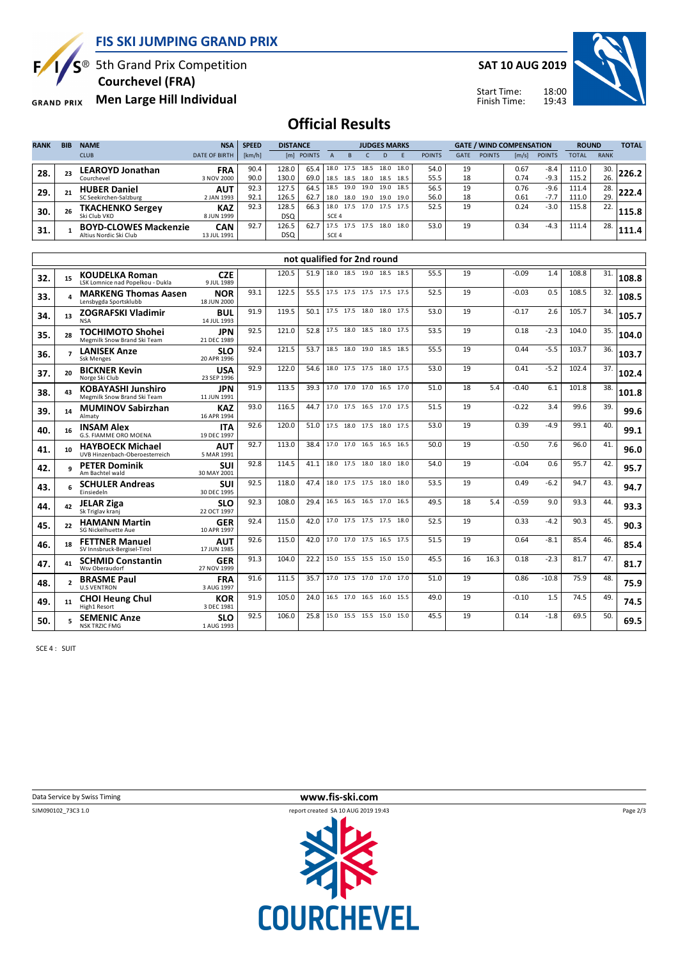

 $S^{\circledast}$  5th Grand Prix Competition

 **Courchevel (FRA)**

**Men Large Hill Individual GRAND PRIX** 

**SAT 10 AUG 2019**



Start Time: Finish Time:

# **Official Results**

| <b>RANK</b> | <b>BIB</b> | <b>NAME</b>                                            | <b>NSA</b>                | <b>SPEED</b> | <b>DISTANCE</b>     | <b>JUDGES MARKS</b> |                          |                   |                   |              | <b>GATE / WIND COMPENSATION</b> |               |             |               | <b>ROUND</b>          |                  | <b>TOTAL</b>   |             |       |
|-------------|------------|--------------------------------------------------------|---------------------------|--------------|---------------------|---------------------|--------------------------|-------------------|-------------------|--------------|---------------------------------|---------------|-------------|---------------|-----------------------|------------------|----------------|-------------|-------|
|             |            | <b>CLUB</b>                                            | <b>DATE OF BIRTH</b>      | [km/h]       | [m]                 | <b>POINTS</b>       |                          |                   |                   | D            |                                 | <b>POINTS</b> | <b>GATE</b> | <b>POINTS</b> | $\lfloor m/s \rfloor$ | <b>POINTS</b>    | <b>TOTAL</b>   | <b>RANK</b> |       |
| 28.         | 23         | <b>LEAROYD Jonathan</b>                                | <b>FRA</b><br>3 NOV 2000  | 90.4<br>90.0 | 128.0<br>130.0      | 65.4<br>69.0        | 18.0                     | 17.5<br>18.5 18.5 | 18.5<br>18.0 18.5 | 18.0         | 18.0<br>18.5                    | 54.0<br>55.5  | 19<br>18    |               | 0.67<br>0.74          | $-8.4$<br>$-9.3$ | 111.0<br>115.2 | 30.<br>26.  | 226.2 |
| 29.         | 21         | Courchevel<br><b>HUBER Daniel</b>                      | <b>AUT</b>                | 92.3         | 127.5               | 64.5                | 18.5                     | 19.0              | 19.0              | 19.0         | 18.5                            | 56.5          | 19          |               | 0.76                  | $-9.6$           | 111.4          | 28.         | 222.4 |
|             |            | SC Seekirchen-Salzburg<br><b>TKACHENKO Sergey</b>      | 2 JAN 1993<br><b>KAZ</b>  | 92.1<br>92.3 | 126.5<br>128.5      | 62.7<br>66.3        | 18.0<br>18.0             | 18.0<br>17.5      | 19.0<br>17.0      | 19.0<br>17.5 | 19.0<br>17.5                    | 56.0<br>52.5  | 18<br>19    |               | 0.61<br>0.24          | $-7.7$<br>$-3.0$ | 111.0<br>115.8 | 29.<br>22.  |       |
| 30.         | 26         | Ski Club VKO                                           | 8 JUN 1999                |              | <b>DSQ</b>          |                     | SCE <sub>4</sub>         |                   |                   |              |                                 |               |             |               |                       |                  |                |             | 115.8 |
| 31.         |            | <b>BOYD-CLOWES Mackenzie</b><br>Altius Nordic Ski Club | <b>CAN</b><br>13 JUL 1991 | 92.7         | 126.5<br><b>DSQ</b> | 62.7                | 17.5<br>SCE <sub>4</sub> | 17.5              | 17.5              | 18.0         | 18.0                            | 53.0          | 19          |               | 0.34                  | $-4.3$           | 111.4          | 28.         | 111.4 |

|     |                          | not qualified for 2nd round                               |                           |      |       |      |  |                          |  |  |      |      |    |      |         |         |       |     |       |
|-----|--------------------------|-----------------------------------------------------------|---------------------------|------|-------|------|--|--------------------------|--|--|------|------|----|------|---------|---------|-------|-----|-------|
| 32. | 15                       | <b>KOUDELKA Roman</b><br>LSK Lomnice nad Popelkou - Dukla | <b>CZE</b><br>9 JUL 1989  |      | 120.5 | 51.9 |  | 18.0 18.5 19.0 18.5 18.5 |  |  |      | 55.5 | 19 |      | $-0.09$ | 1.4     | 108.8 | 31. | 108.8 |
| 33. | $\Delta$                 | <b>MARKENG Thomas Aasen</b><br>Lensbygda Sportsklubb      | <b>NOR</b><br>18 JUN 2000 | 93.1 | 122.5 | 55.5 |  | 17.5 17.5 17.5 17.5 17.5 |  |  |      | 52.5 | 19 |      | $-0.03$ | 0.5     | 108.5 | 32. | 108.5 |
| 34. | 13                       | <b>ZOGRAFSKI Vladimir</b><br><b>NSA</b>                   | <b>BUL</b><br>14 JUL 1993 | 91.9 | 119.5 | 50.1 |  | 17.5 17.5 18.0 18.0 17.5 |  |  |      | 53.0 | 19 |      | $-0.17$ | 2.6     | 105.7 | 34. | 105.7 |
| 35. | 28                       | <b>TOCHIMOTO Shohei</b><br>Megmilk Snow Brand Ski Team    | <b>JPN</b><br>21 DEC 1989 | 92.5 | 121.0 | 52.8 |  | 17.5 18.0 18.5 18.0      |  |  | 17.5 | 53.5 | 19 |      | 0.18    | $-2.3$  | 104.0 | 35. | 104.0 |
| 36. | $\overline{\phantom{a}}$ | <b>LANISEK Anze</b><br><b>Ssk Menges</b>                  | <b>SLO</b><br>20 APR 1996 | 92.4 | 121.5 | 53.7 |  | 18.5 18.0 19.0 18.5      |  |  | 18.5 | 55.5 | 19 |      | 0.44    | $-5.5$  | 103.7 | 36. | 103.7 |
| 37. | 20                       | <b>BICKNER Kevin</b><br>Norge Ski Club                    | <b>USA</b><br>23 SEP 1996 | 92.9 | 122.0 | 54.6 |  | 18.0 17.5 17.5 18.0      |  |  | 17.5 | 53.0 | 19 |      | 0.41    | $-5.2$  | 102.4 | 37. | 102.4 |
| 38. | 43                       | <b>KOBAYASHI Junshiro</b><br>Megmilk Snow Brand Ski Team  | <b>JPN</b><br>11 JUN 1991 | 91.9 | 113.5 | 39.3 |  | 17.0 17.0 17.0 16.5 17.0 |  |  |      | 51.0 | 18 | 5.4  | $-0.40$ | 6.1     | 101.8 | 38. | 101.8 |
| 39. | 14                       | <b>MUMINOV Sabirzhan</b><br>Almaty                        | <b>KAZ</b><br>16 APR 1994 | 93.0 | 116.5 | 44.7 |  | 17.0 17.5 16.5 17.0 17.5 |  |  |      | 51.5 | 19 |      | $-0.22$ | 3.4     | 99.6  | 39. | 99.6  |
| 40. | 16                       | <b>INSAM Alex</b><br>G.S. FIAMME ORO MOENA                | <b>ITA</b><br>19 DEC 1997 | 92.6 | 120.0 | 51.0 |  | 17.5 18.0 17.5 18.0      |  |  | 17.5 | 53.0 | 19 |      | 0.39    | $-4.9$  | 99.1  | 40. | 99.1  |
| 41. | 10                       | <b>HAYBOECK Michael</b><br>UVB Hinzenbach-Oberoesterreich | <b>AUT</b><br>5 MAR 1991  | 92.7 | 113.0 | 38.4 |  | 17.0 17.0 16.5 16.5      |  |  | 16.5 | 50.0 | 19 |      | $-0.50$ | 7.6     | 96.0  | 41  | 96.0  |
| 42. | q                        | <b>PETER Dominik</b><br>Am Bachtel wald                   | <b>SUI</b><br>30 MAY 2001 | 92.8 | 114.5 | 41.1 |  | 18.0 17.5 18.0 18.0      |  |  | 18.0 | 54.0 | 19 |      | $-0.04$ | 0.6     | 95.7  | 42. | 95.7  |
| 43. | 6                        | <b>SCHULER Andreas</b><br><b>Finsiedeln</b>               | <b>SUI</b><br>30 DEC 1995 | 92.5 | 118.0 | 47.4 |  | 18.0 17.5 17.5 18.0      |  |  | 18.0 | 53.5 | 19 |      | 0.49    | $-6.2$  | 94.7  | 43. | 94.7  |
| 44. | 42                       | <b>JELAR Ziga</b><br>Sk Triglav kranj                     | <b>SLO</b><br>22 OCT 1997 | 92.3 | 108.0 | 29.4 |  | 16.5 16.5 16.5 17.0      |  |  | 16.5 | 49.5 | 18 | 5.4  | $-0.59$ | 9.0     | 93.3  | 44. | 93.3  |
| 45. | 22                       | <b>HAMANN Martin</b><br>SG Nickelhuette Aue               | <b>GER</b><br>10 APR 1997 | 92.4 | 115.0 | 42.0 |  | 17.0 17.5 17.5 17.5      |  |  | 18.0 | 52.5 | 19 |      | 0.33    | $-4.2$  | 90.3  | 45. | 90.3  |
| 46. | 18                       | <b>FETTNER Manuel</b><br>SV Innsbruck-Bergisel-Tirol      | <b>AUT</b><br>17 JUN 1985 | 92.6 | 115.0 | 42.0 |  | 17.0 17.0 17.5 16.5 17.5 |  |  |      | 51.5 | 19 |      | 0.64    | $-8.1$  | 85.4  | 46. | 85.4  |
| 47. | 41                       | <b>SCHMID Constantin</b><br>Wsv Oberaudorf                | <b>GER</b><br>27 NOV 1999 | 91.3 | 104.0 | 22.2 |  | 15.0 15.5 15.5 15.0 15.0 |  |  |      | 45.5 | 16 | 16.3 | 0.18    | $-2.3$  | 81.7  | 47. | 81.7  |
| 48. | $\overline{ }$           | <b>BRASME Paul</b><br><b>U.S VENTRON</b>                  | <b>FRA</b><br>3 AUG 1997  | 91.6 | 111.5 | 35.7 |  | 17.0 17.5 17.0 17.0      |  |  | 17.0 | 51.0 | 19 |      | 0.86    | $-10.8$ | 75.9  | 48. | 75.9  |
| 49. | 11                       | <b>CHOI Heung Chul</b><br>High1 Resort                    | <b>KOR</b><br>3 DEC 1981  | 91.9 | 105.0 | 24.0 |  | 16.5 17.0 16.5 16.0      |  |  | 15.5 | 49.0 | 19 |      | $-0.10$ | 1.5     | 74.5  | 49. | 74.5  |
| 50. |                          | <b>SEMENIC Anze</b><br><b>NSK TRZIC FMG</b>               | <b>SLO</b><br>1 AUG 1993  | 92.5 | 106.0 | 25.8 |  | 15.0 15.5 15.5 15.0      |  |  | 15.0 | 45.5 | 19 |      | 0.14    | $-1.8$  | 69.5  | 50  | 69.5  |

SCE 4 : SUIT



**Data Service by Swiss Timing WWW.fis-ski.com** 



Page 2/3